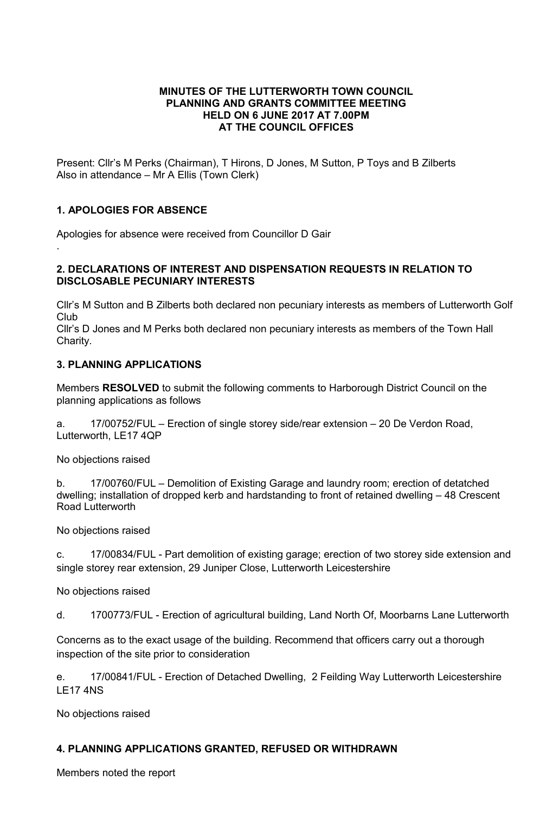### MINUTES OF THE LUTTERWORTH TOWN COUNCIL PLANNING AND GRANTS COMMITTEE MEETING HELD ON 6 JUNE 2017 AT 7.00PM AT THE COUNCIL OFFICES

Present: Cllr's M Perks (Chairman), T Hirons, D Jones, M Sutton, P Toys and B Zilberts Also in attendance – Mr A Ellis (Town Clerk)

## 1. APOLOGIES FOR ABSENCE

.

Apologies for absence were received from Councillor D Gair

## 2. DECLARATIONS OF INTEREST AND DISPENSATION REQUESTS IN RELATION TO DISCLOSABLE PECUNIARY INTERESTS

Cllr's M Sutton and B Zilberts both declared non pecuniary interests as members of Lutterworth Golf Club

Cllr's D Jones and M Perks both declared non pecuniary interests as members of the Town Hall Charity.

## 3. PLANNING APPLICATIONS

Members RESOLVED to submit the following comments to Harborough District Council on the planning applications as follows

a. 17/00752/FUL – Erection of single storey side/rear extension – 20 De Verdon Road, Lutterworth, LE17 4QP

No objections raised

b. 17/00760/FUL – Demolition of Existing Garage and laundry room; erection of detatched dwelling; installation of dropped kerb and hardstanding to front of retained dwelling – 48 Crescent Road Lutterworth

No objections raised

c. 17/00834/FUL - Part demolition of existing garage; erection of two storey side extension and single storey rear extension, 29 Juniper Close, Lutterworth Leicestershire

No objections raised

d. 1700773/FUL - Erection of agricultural building, Land North Of, Moorbarns Lane Lutterworth

Concerns as to the exact usage of the building. Recommend that officers carry out a thorough inspection of the site prior to consideration

e. 17/00841/FUL - Erection of Detached Dwelling, 2 Feilding Way Lutterworth Leicestershire LE17 4NS

No objections raised

# 4. PLANNING APPLICATIONS GRANTED, REFUSED OR WITHDRAWN

Members noted the report